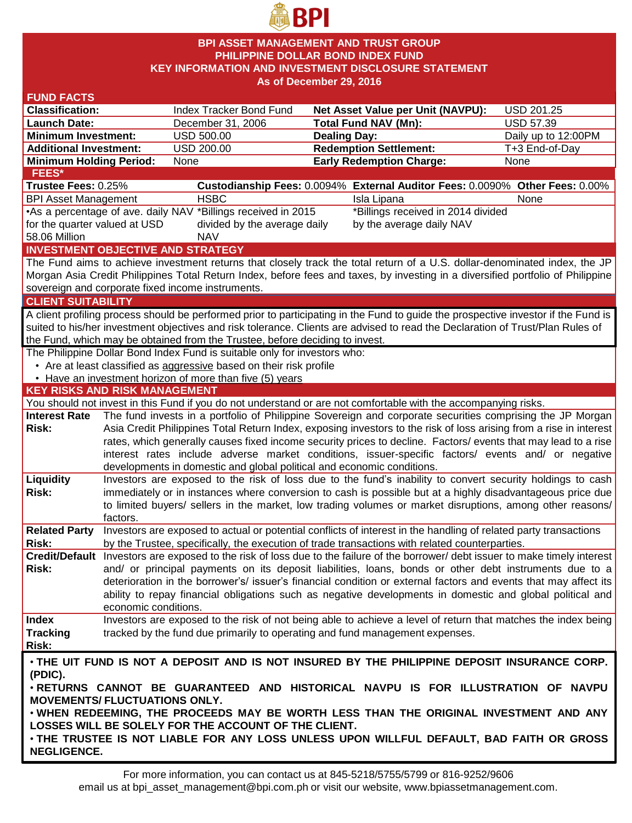

### **BPI ASSET MANAGEMENT AND TRUST GROUP PHILIPPINE DOLLAR BOND INDEX FUND KEY INFORMATION AND INVESTMENT DISCLOSURE STATEMENT As of December 29, 2016**

| <b>FUND FACTS</b>                                                                            |                                                                                                                                                                                                                               |                                                                                                                    |                                                                                                                                    |                     |  |  |  |  |
|----------------------------------------------------------------------------------------------|-------------------------------------------------------------------------------------------------------------------------------------------------------------------------------------------------------------------------------|--------------------------------------------------------------------------------------------------------------------|------------------------------------------------------------------------------------------------------------------------------------|---------------------|--|--|--|--|
| <b>Classification:</b>                                                                       |                                                                                                                                                                                                                               | Index Tracker Bond Fund                                                                                            | <b>Net Asset Value per Unit (NAVPU):</b>                                                                                           | <b>USD 201.25</b>   |  |  |  |  |
| <b>Launch Date:</b>                                                                          |                                                                                                                                                                                                                               | December 31, 2006                                                                                                  | <b>Total Fund NAV (Mn):</b>                                                                                                        | <b>USD 57.39</b>    |  |  |  |  |
| <b>Minimum Investment:</b>                                                                   |                                                                                                                                                                                                                               | <b>USD 500.00</b>                                                                                                  | <b>Dealing Day:</b>                                                                                                                | Daily up to 12:00PM |  |  |  |  |
| <b>Additional Investment:</b>                                                                |                                                                                                                                                                                                                               | <b>USD 200.00</b>                                                                                                  | <b>Redemption Settlement:</b>                                                                                                      | T+3 End-of-Day      |  |  |  |  |
| <b>Minimum Holding Period:</b>                                                               |                                                                                                                                                                                                                               | None                                                                                                               | <b>Early Redemption Charge:</b>                                                                                                    | None                |  |  |  |  |
| <b>FEES*</b>                                                                                 |                                                                                                                                                                                                                               |                                                                                                                    |                                                                                                                                    |                     |  |  |  |  |
| Trustee Fees: 0.25%                                                                          |                                                                                                                                                                                                                               |                                                                                                                    | Custodianship Fees: 0.0094% External Auditor Fees: 0.0090% Other Fees: 0.00%                                                       |                     |  |  |  |  |
| <b>BPI Asset Management</b>                                                                  |                                                                                                                                                                                                                               | <b>HSBC</b>                                                                                                        | Isla Lipana                                                                                                                        | None                |  |  |  |  |
|                                                                                              |                                                                                                                                                                                                                               | •As a percentage of ave. daily NAV *Billings received in 2015                                                      | *Billings received in 2014 divided                                                                                                 |                     |  |  |  |  |
| divided by the average daily<br>by the average daily NAV<br>for the quarter valued at USD    |                                                                                                                                                                                                                               |                                                                                                                    |                                                                                                                                    |                     |  |  |  |  |
| 58.06 Million                                                                                |                                                                                                                                                                                                                               | <b>NAV</b>                                                                                                         |                                                                                                                                    |                     |  |  |  |  |
|                                                                                              |                                                                                                                                                                                                                               | <b>INVESTMENT OBJECTIVE AND STRATEGY</b>                                                                           |                                                                                                                                    |                     |  |  |  |  |
|                                                                                              |                                                                                                                                                                                                                               |                                                                                                                    | The Fund aims to achieve investment returns that closely track the total return of a U.S. dollar-denominated index, the JP         |                     |  |  |  |  |
|                                                                                              |                                                                                                                                                                                                                               |                                                                                                                    | Morgan Asia Credit Philippines Total Return Index, before fees and taxes, by investing in a diversified portfolio of Philippine    |                     |  |  |  |  |
|                                                                                              |                                                                                                                                                                                                                               | sovereign and corporate fixed income instruments.                                                                  |                                                                                                                                    |                     |  |  |  |  |
| <b>CLIENT SUITABILITY</b>                                                                    |                                                                                                                                                                                                                               |                                                                                                                    |                                                                                                                                    |                     |  |  |  |  |
|                                                                                              |                                                                                                                                                                                                                               |                                                                                                                    | A client profiling process should be performed prior to participating in the Fund to guide the prospective investor if the Fund is |                     |  |  |  |  |
|                                                                                              |                                                                                                                                                                                                                               |                                                                                                                    | suited to his/her investment objectives and risk tolerance. Clients are advised to read the Declaration of Trust/Plan Rules of     |                     |  |  |  |  |
|                                                                                              |                                                                                                                                                                                                                               | the Fund, which may be obtained from the Trustee, before deciding to invest.                                       |                                                                                                                                    |                     |  |  |  |  |
|                                                                                              |                                                                                                                                                                                                                               | The Philippine Dollar Bond Index Fund is suitable only for investors who:                                          |                                                                                                                                    |                     |  |  |  |  |
|                                                                                              |                                                                                                                                                                                                                               | • Are at least classified as aggressive based on their risk profile                                                |                                                                                                                                    |                     |  |  |  |  |
|                                                                                              |                                                                                                                                                                                                                               | • Have an investment horizon of more than five (5) years                                                           |                                                                                                                                    |                     |  |  |  |  |
| <b>KEY RISKS AND RISK MANAGEMENT</b>                                                         |                                                                                                                                                                                                                               |                                                                                                                    |                                                                                                                                    |                     |  |  |  |  |
|                                                                                              |                                                                                                                                                                                                                               |                                                                                                                    | You should not invest in this Fund if you do not understand or are not comfortable with the accompanying risks.                    |                     |  |  |  |  |
| <b>Interest Rate</b>                                                                         |                                                                                                                                                                                                                               |                                                                                                                    | The fund invests in a portfolio of Philippine Sovereign and corporate securities comprising the JP Morgan                          |                     |  |  |  |  |
| Risk:                                                                                        |                                                                                                                                                                                                                               | Asia Credit Philippines Total Return Index, exposing investors to the risk of loss arising from a rise in interest |                                                                                                                                    |                     |  |  |  |  |
|                                                                                              | rates, which generally causes fixed income security prices to decline. Factors/ events that may lead to a rise                                                                                                                |                                                                                                                    |                                                                                                                                    |                     |  |  |  |  |
|                                                                                              |                                                                                                                                                                                                                               |                                                                                                                    | interest rates include adverse market conditions, issuer-specific factors/ events and/ or negative                                 |                     |  |  |  |  |
|                                                                                              |                                                                                                                                                                                                                               | developments in domestic and global political and economic conditions.                                             |                                                                                                                                    |                     |  |  |  |  |
| Liquidity                                                                                    |                                                                                                                                                                                                                               |                                                                                                                    | Investors are exposed to the risk of loss due to the fund's inability to convert security holdings to cash                         |                     |  |  |  |  |
| Risk:                                                                                        | immediately or in instances where conversion to cash is possible but at a highly disadvantageous price due                                                                                                                    |                                                                                                                    |                                                                                                                                    |                     |  |  |  |  |
|                                                                                              |                                                                                                                                                                                                                               |                                                                                                                    | to limited buyers/ sellers in the market, low trading volumes or market disruptions, among other reasons/                          |                     |  |  |  |  |
|                                                                                              | factors.                                                                                                                                                                                                                      |                                                                                                                    |                                                                                                                                    |                     |  |  |  |  |
| <b>Related Party</b>                                                                         |                                                                                                                                                                                                                               |                                                                                                                    | Investors are exposed to actual or potential conflicts of interest in the handling of related party transactions                   |                     |  |  |  |  |
| <b>Risk:</b>                                                                                 | by the Trustee, specifically, the execution of trade transactions with related counterparties.                                                                                                                                |                                                                                                                    |                                                                                                                                    |                     |  |  |  |  |
|                                                                                              | Credit/Default Investors are exposed to the risk of loss due to the failure of the borrower/ debt issuer to make timely interest                                                                                              |                                                                                                                    |                                                                                                                                    |                     |  |  |  |  |
| Risk:                                                                                        | and/ or principal payments on its deposit liabilities, loans, bonds or other debt instruments due to a                                                                                                                        |                                                                                                                    |                                                                                                                                    |                     |  |  |  |  |
|                                                                                              | deterioration in the borrower's/ issuer's financial condition or external factors and events that may affect its<br>ability to repay financial obligations such as negative developments in domestic and global political and |                                                                                                                    |                                                                                                                                    |                     |  |  |  |  |
|                                                                                              |                                                                                                                                                                                                                               |                                                                                                                    |                                                                                                                                    |                     |  |  |  |  |
|                                                                                              | economic conditions.                                                                                                                                                                                                          |                                                                                                                    |                                                                                                                                    |                     |  |  |  |  |
| <b>Index</b>                                                                                 |                                                                                                                                                                                                                               |                                                                                                                    | Investors are exposed to the risk of not being able to achieve a level of return that matches the index being                      |                     |  |  |  |  |
| <b>Tracking</b>                                                                              |                                                                                                                                                                                                                               |                                                                                                                    | tracked by the fund due primarily to operating and fund management expenses.                                                       |                     |  |  |  |  |
| Risk:                                                                                        |                                                                                                                                                                                                                               |                                                                                                                    |                                                                                                                                    |                     |  |  |  |  |
| . THE UIT FUND IS NOT A DEPOSIT AND IS NOT INSURED BY THE PHILIPPINE DEPOSIT INSURANCE CORP. |                                                                                                                                                                                                                               |                                                                                                                    |                                                                                                                                    |                     |  |  |  |  |
| (PDIC).                                                                                      |                                                                                                                                                                                                                               |                                                                                                                    |                                                                                                                                    |                     |  |  |  |  |
| . RETURNS CANNOT BE GUARANTEED AND HISTORICAL NAVPU IS FOR ILLUSTRATION OF NAVPU             |                                                                                                                                                                                                                               |                                                                                                                    |                                                                                                                                    |                     |  |  |  |  |
| <b>MOVEMENTS/ FLUCTUATIONS ONLY.</b>                                                         |                                                                                                                                                                                                                               |                                                                                                                    |                                                                                                                                    |                     |  |  |  |  |
|                                                                                              |                                                                                                                                                                                                                               |                                                                                                                    | . WHEN REDEEMING, THE PROCEEDS MAY BE WORTH LESS THAN THE ORIGINAL INVESTMENT AND ANY                                              |                     |  |  |  |  |
|                                                                                              |                                                                                                                                                                                                                               | LOSSES WILL BE SOLELY FOR THE ACCOUNT OF THE CLIENT.                                                               |                                                                                                                                    |                     |  |  |  |  |
| . THE TRUSTEE IS NOT LIABLE FOR ANY LOSS UNLESS UPON WILLFUL DEFAULT, BAD FAITH OR GROSS     |                                                                                                                                                                                                                               |                                                                                                                    |                                                                                                                                    |                     |  |  |  |  |
| <b>NEGLIGENCE.</b>                                                                           |                                                                                                                                                                                                                               |                                                                                                                    |                                                                                                                                    |                     |  |  |  |  |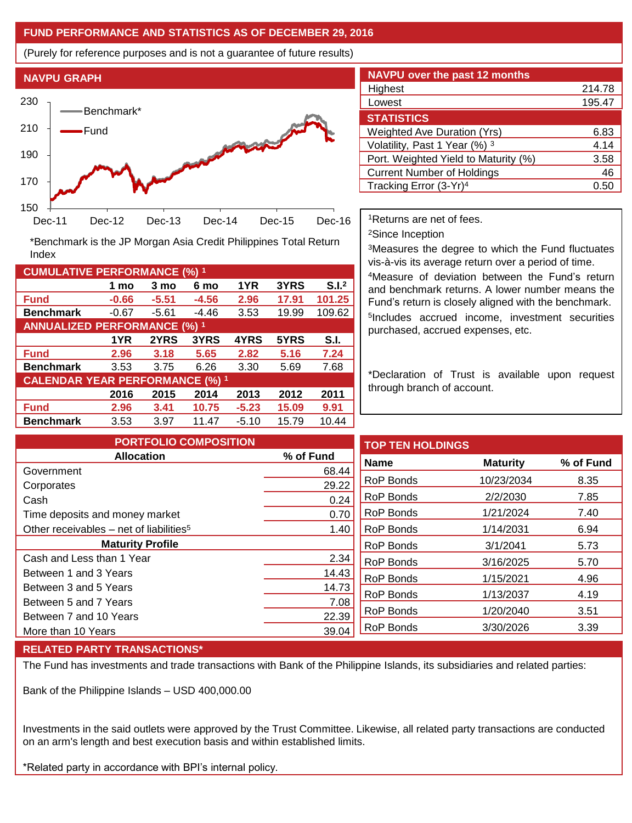# **FUND PERFORMANCE AND STATISTICS AS OF DECEMBER 29, 2016**

(Purely for reference purposes and is not a guarantee of future results)



**Fund -0.66 -5.51 -4.56 2.96 17.91 101.25 Benchmark** -0.67 -5.61 -4.46 3.53 19.99 109.62

\*Benchmark is the JP Morgan Asia Credit Philippines Total Return

**Fund 2.96 3.18 5.65 2.82 5.16 7.24 Benchmark** 3.53 3.75 6.26 3.30 5.69 7.68

**Fund 2.96 3.41 10.75 -5.23 15.09 9.91 Benchmark** 3.53 3.97 11.47 -5.10 15.79 10.44

**1 mo 3 mo 6 mo 1YR 3YRS S.I.<sup>2</sup>**

**1YR 2YRS 3YRS 4YRS 5YRS S.I.**

**2016 2015 2014 2013 2012 2011**

| <b>NAVPU over the past 12 months</b> |        |  |  |  |  |  |
|--------------------------------------|--------|--|--|--|--|--|
| Highest                              | 214.78 |  |  |  |  |  |
| Lowest                               | 195.47 |  |  |  |  |  |
| <b>STATISTICS</b>                    |        |  |  |  |  |  |
| <b>Weighted Ave Duration (Yrs)</b>   | 6.83   |  |  |  |  |  |
| Volatility, Past 1 Year (%) 3        | 4.14   |  |  |  |  |  |
| Port. Weighted Yield to Maturity (%) | 3.58   |  |  |  |  |  |
| <b>Current Number of Holdings</b>    | 46     |  |  |  |  |  |
| Tracking Error (3-Yr) <sup>4</sup>   | 0.50   |  |  |  |  |  |

<sup>1</sup>Returns are net of fees.

<sup>2</sup>Since Inception

<sup>3</sup>Measures the degree to which the Fund fluctuates vis-à-vis its average return over a period of time.

<sup>4</sup>Measure of deviation between the Fund's return and benchmark returns. A lower number means the Fund's return is closely aligned with the benchmark. 5 Includes accrued income, investment securities purchased, accrued expenses, etc.

\*Declaration of Trust is available upon request through branch of account.

| <b>PORTFOLIO COMPOSITION</b>                          |           | <b>TOP TEN HOLDINGS</b> |                 |           |
|-------------------------------------------------------|-----------|-------------------------|-----------------|-----------|
| <b>Allocation</b>                                     | % of Fund | <b>Name</b>             | <b>Maturity</b> | % of Fund |
| Government                                            | 68.44     |                         |                 |           |
| Corporates                                            | 29.22     | <b>RoP Bonds</b>        | 10/23/2034      | 8.35      |
| Cash                                                  | 0.24      | <b>RoP Bonds</b>        | 2/2/2030        | 7.85      |
| Time deposits and money market                        | 0.70      | RoP Bonds               | 1/21/2024       | 7.40      |
| Other receivables $-$ net of liabilities <sup>5</sup> | 1.40      | <b>RoP Bonds</b>        | 1/14/2031       | 6.94      |
| <b>Maturity Profile</b>                               |           | <b>RoP Bonds</b>        | 3/1/2041        | 5.73      |
| Cash and Less than 1 Year                             | 2.34      | RoP Bonds               | 3/16/2025       | 5.70      |
| Between 1 and 3 Years                                 | 14.43     | RoP Bonds               | 1/15/2021       | 4.96      |
| Between 3 and 5 Years                                 | 14.73     |                         |                 |           |
| Between 5 and 7 Years                                 | 7.08      | <b>RoP Bonds</b>        | 1/13/2037       | 4.19      |
| Between 7 and 10 Years                                | 22.39     | <b>RoP Bonds</b>        | 1/20/2040       | 3.51      |
| More than 10 Years                                    | 39.04     | RoP Bonds               | 3/30/2026       | 3.39      |

# **RELATED PARTY TRANSACTIONS\***

**CUMULATIVE PERFORMANCE (%) <sup>1</sup>**

Index

**ANNUALIZED PERFORMANCE (%) <sup>1</sup>**

**CALENDAR YEAR PERFORMANCE (%) <sup>1</sup>**

The Fund has investments and trade transactions with Bank of the Philippine Islands, its subsidiaries and related parties:

Bank of the Philippine Islands – USD 400,000.00

Investments in the said outlets were approved by the Trust Committee. Likewise, all related party transactions are conducted on an arm's length and best execution basis and within established limits.

\*Related party in accordance with BPI's internal policy.